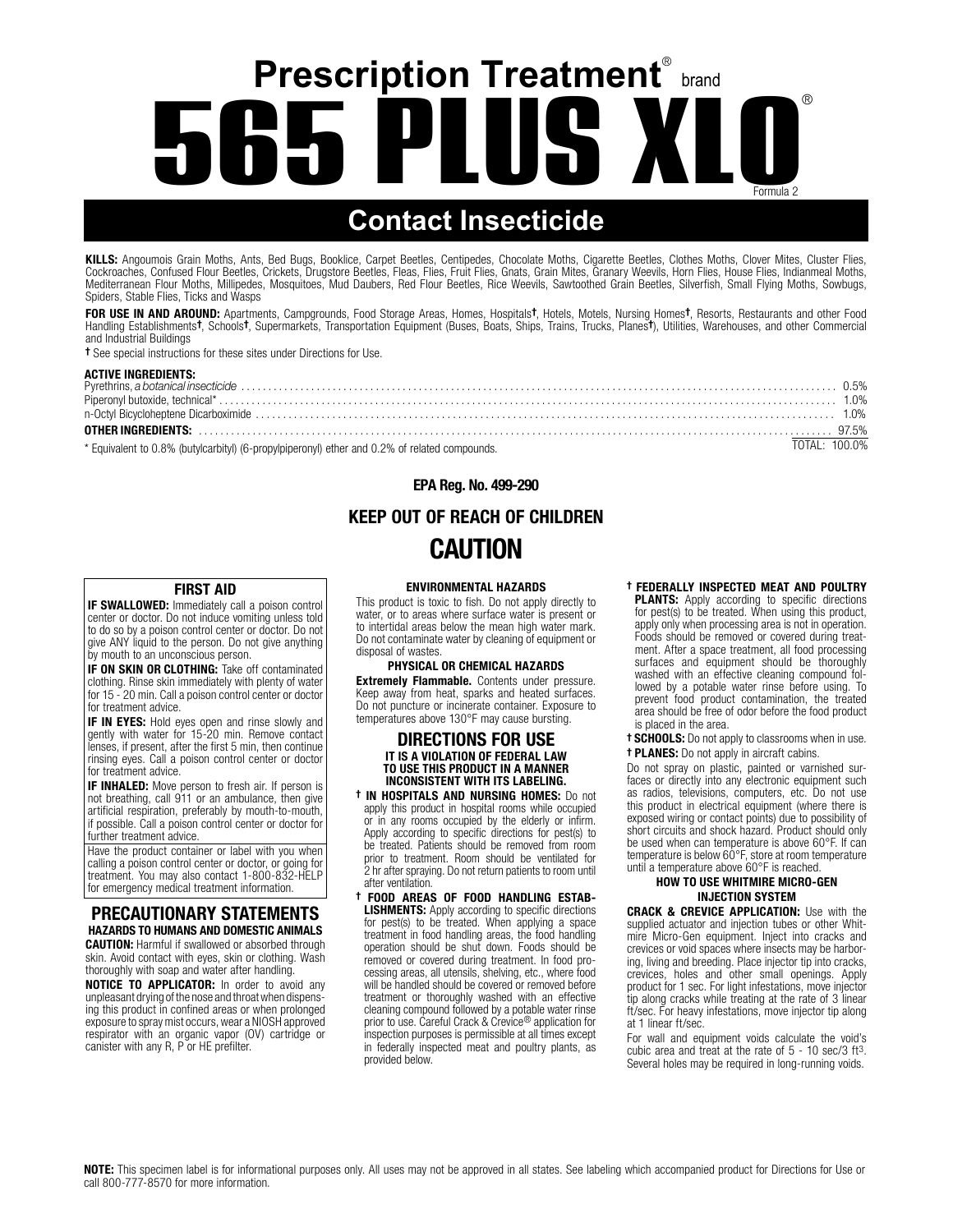# **Prescription Treatment**® brand **565 PLUS XLO** ® ® Formula 2

# **Contact Insecticide**

KILLS: Angoumois Grain Moths, Ants, Bed Bugs, Booklice, Carpet Beetles, Centipedes, Chocolate Moths, Cigarette Beetles, Clothes Moths, Clover Mites, Cluster Flies, Cockroaches, Confused Flour Beetles, Crickets, Drugstore Beetles, Fleas, Flies, Fruit Flies, Gnats, Grain Mites, Granary Weevils, Horn Flies, House Flies, Indianmeal Moths, Mediterranean Flour Moths, Millipedes, Mosquitoes, Mud Daubers, Red Flour Beetles, Rice Weevils, Sawtoothed Grain Beetles, Silverfish, Small Flying Moths, Sowbugs, Spiders, Stable Flies, Ticks and Wasps

**FOR USE IN AND AROUND:** Apartments, Campgrounds, Food Storage Areas, Homes, Hospitals†, Hotels, Motels, Nursing Homes†, Resorts, Restaurants and other Food<br>Handling Establishments†, Schools†, Supermarkets, Transportation and Industrial Buildings

† See special instructions for these sites under Directions for Use.

#### ACTIVE INGREDIENTS:

| * Equivalent to 0.8% (butylearbityl) (6-propylpineropyl) ether and 0.2% of related compounds | TOTAL: 100.0% |  |
|----------------------------------------------------------------------------------------------|---------------|--|

Equivalent to 0.8% (butylcarbityl) (6-propylpiperonyl) ether and 0.2% of related compounds.

EPA Reg. No. 499-290

## KEEP OUT OF REACH OF CHILDREN CAUTION

#### FIRST AID

IF SWALLOWED: Immediately call a poison control center or doctor. Do not induce vomiting unless told to do so by a poison control center or doctor. Do not give ANY liquid to the person. Do not give anything by mouth to an unconscious person.

IF ON SKIN OR CLOTHING: Take off contaminated clothing. Rinse skin immediately with plenty of water for 15 - 20 min. Call a poison control center or doctor for treatment advice.

**IF IN EYES:** Hold eyes open and rinse slowly and gently with water for 15-20 min. Remove contact lenses, if present, after the first 5 min, then continue rinsing eyes. Call a poison control center or doctor for treatment advice.

**IF INHALED:** Move person to fresh air. If person is<br>not breathing, call 911 or an ambulance, then give artificial respiration, preferably by mouth-to-mouth, if possible. Call a poison control center or doctor for further treatment advice.

Have the product container or label with you when calling a poison control center or doctor, or going for treatment. You may also contact 1-800-832-HELP for emergency medical treatment information.

### PRECAUTIONARY STATEMENTS HAZARDS TO HUMANS AND DOMESTIC ANIMALS

**CAUTION:** Harmful if swallowed or absorbed through skin. Avoid contact with eyes, skin or clothing. Wash thoroughly with soap and water after handling.

**NOTICE TO APPLICATOR:** In order to avoid any unpleasant drying of the nose and throat when dispensing this product in confined areas or when prolonged exposure to spray mist occurs, wear a NIOSH approved respirator with an organic vapor (OV) cartridge or canister with any R, P or HE prefilter.

#### ENVIRONMENTAL HAZARDS

This product is toxic to fish. Do not apply directly to water, or to areas where surface water is present or to intertidal areas below the mean high water mark. Do not contaminate water by cleaning of equipment or disposal of wastes.

#### PHYSICAL OR CHEMICAL HAZARDS

**Extremely Flammable.** Contents under pressure. Keep away from heat, sparks and heated surfaces. Do not puncture or incinerate container. Exposure to temperatures above 130°F may cause bursting.

#### DIRECTIONS FOR USE IT IS A VIOLATION OF FEDERAL LAW TO USE THIS PRODUCT IN A MANNER INCONSISTENT WITH ITS LABELING.

† IN HOSPITALS AND NURSING HOMES: Do not apply this product in hospital rooms while occupied or in any rooms occupied by the elderly or infirm. Apply according to specific directions for pest(s) to be treated. Patients should be removed from room prior to treatment. Room should be ventilated for 2 hr after spraying. Do not return patients to room until after ventilation.

† FOOD AREAS OF FOOD HANDLING ESTAB-**LISHMENTS:** Apply according to specific directions for pest(s) to be treated. When applying a space treatment in food handling areas, the food handling operation should be shut down. Foods should be removed or covered during treatment. In food processing areas, all utensils, shelving, etc., where food will be handled should be covered or removed before treatment or thoroughly washed with an effective cleaning compound followed by a potable water rinse prior to use. Careful Crack & Crevice® application for inspection purposes is permissible at all times except in federally inspected meat and poultry plants, as provided below.

#### † FEDERALLY INSPECTED MEAT AND POULTRY **PLANTS:** Apply according to specific directions for pest(s) to be treated. When using this product, apply only when processing area is not in operation. Foods should be removed or covered during treatment. After a space treatment, all food processing surfaces and equipment should be thoroughly washed with an effective cleaning compound followed by a potable water rinse before using. To prevent food product contamination, the treated area should be free of odor before the food product is placed in the area.

† SCHOOLS: Do not apply to classrooms when in use. † PLANES: Do not apply in aircraft cabins.

Do not spray on plastic, painted or varnished surfaces or directly into any electronic equipment such as radios, televisions, computers, etc. Do not use this product in electrical equipment (where there is exposed wiring or contact points) due to possibility of short circuits and shock hazard. Product should only be used when can temperature is above 60°F. If can temperature is below 60°F, store at room temperature until a temperature above 60°F is reached.

#### HOW TO USE WHITMIRE MICRO-GEN INJECTION SYSTEM

CRACK & CREVICE APPLICATION: Use with the supplied actuator and injection tubes or other Whitmire Micro-Gen equipment. Inject into cracks and crevices or void spaces where insects may be harboring, living and breeding. Place injector tip into cracks, crevices, holes and other small openings. Apply product for 1 sec. For light infestations, move injector tip along cracks while treating at the rate of 3 linear ft/sec. For heavy infestations, move injector tip along at 1 linear ft/sec.

For wall and equipment voids calculate the void's cubic area and treat at the rate of 5 - 10 sec/3 ft3. Several holes may be required in long-running voids.